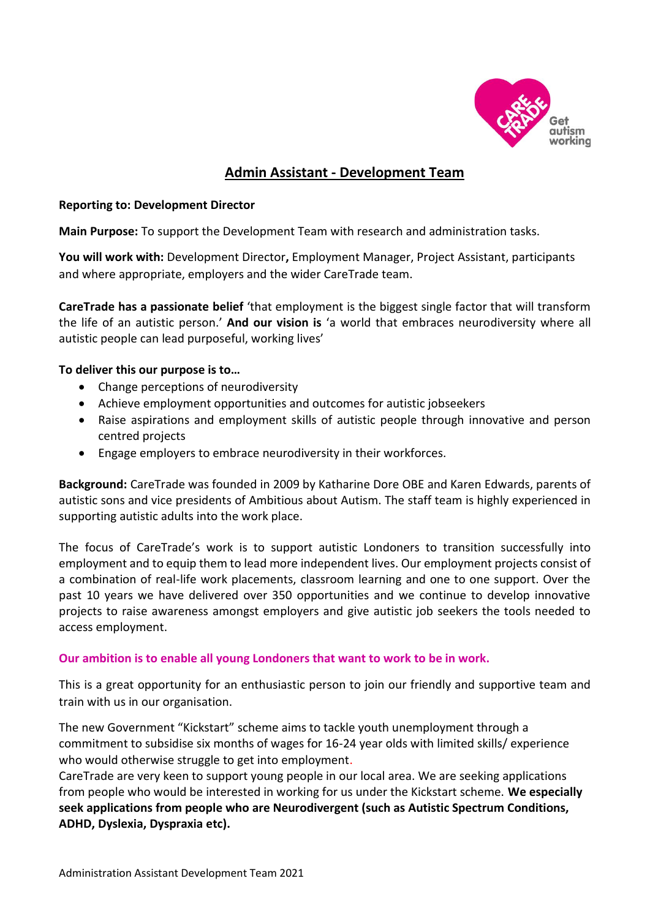

# **Admin Assistant - Development Team**

#### **Reporting to: Development Director**

**Main Purpose:** To support the Development Team with research and administration tasks.

**You will work with:** Development Director**,** Employment Manager, Project Assistant, participants and where appropriate, employers and the wider CareTrade team.

**CareTrade has a passionate belief** 'that employment is the biggest single factor that will transform the life of an autistic person.' **And our vision is** 'a world that embraces neurodiversity where all autistic people can lead purposeful, working lives'

# **To deliver this our purpose is to…**

- Change perceptions of neurodiversity
- Achieve employment opportunities and outcomes for autistic jobseekers
- Raise aspirations and employment skills of autistic people through innovative and person centred projects
- Engage employers to embrace neurodiversity in their workforces.

**Background:** CareTrade was founded in 2009 by Katharine Dore OBE and Karen Edwards, parents of autistic sons and vice presidents of Ambitious about Autism. The staff team is highly experienced in supporting autistic adults into the work place.

The focus of CareTrade's work is to support autistic Londoners to transition successfully into employment and to equip them to lead more independent lives. Our employment projects consist of a combination of real-life work placements, classroom learning and one to one support. Over the past 10 years we have delivered over 350 opportunities and we continue to develop innovative projects to raise awareness amongst employers and give autistic job seekers the tools needed to access employment.

# **Our ambition is to enable all young Londoners that want to work to be in work.**

This is a great opportunity for an enthusiastic person to join our friendly and supportive team and train with us in our organisation.

The new Government "Kickstart" scheme aims to tackle youth unemployment through a commitment to subsidise six months of wages for 16-24 year olds with limited skills/ experience who would otherwise struggle to get into employment.

CareTrade are very keen to support young people in our local area. We are seeking applications from people who would be interested in working for us under the Kickstart scheme. **We especially seek applications from people who are Neurodivergent (such as Autistic Spectrum Conditions, ADHD, Dyslexia, Dyspraxia etc).**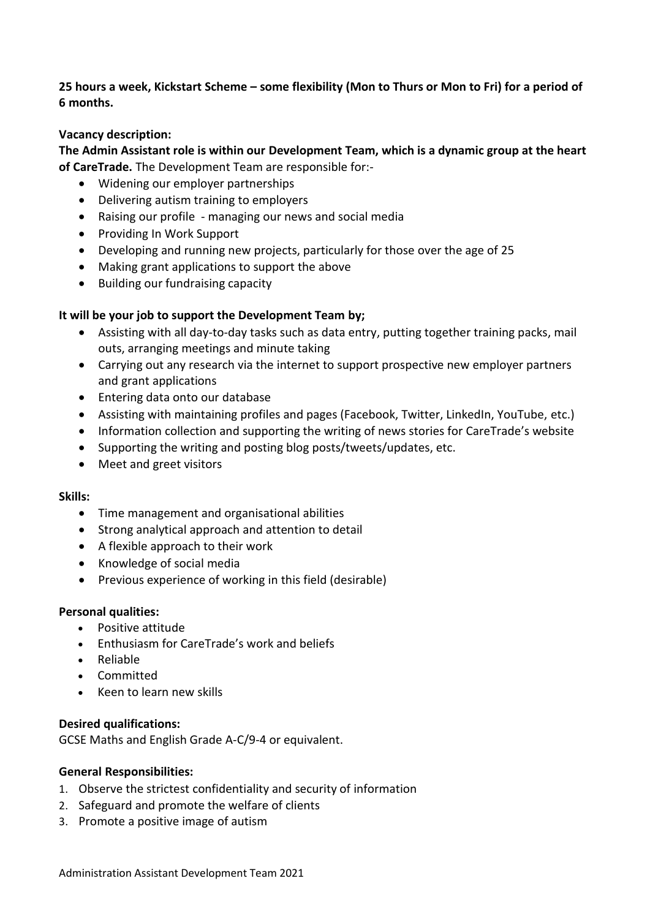**25 hours a week, Kickstart Scheme – some flexibility (Mon to Thurs or Mon to Fri) for a period of 6 months.** 

# **Vacancy description:**

**The Admin Assistant role is within our Development Team, which is a dynamic group at the heart of CareTrade.** The Development Team are responsible for:-

- Widening our employer partnerships
- Delivering autism training to employers
- Raising our profile managing our news and social media
- Providing In Work Support
- Developing and running new projects, particularly for those over the age of 25
- Making grant applications to support the above
- Building our fundraising capacity

# **It will be your job to support the Development Team by;**

- Assisting with all day-to-day tasks such as data entry, putting together training packs, mail outs, arranging meetings and minute taking
- Carrying out any research via the internet to support prospective new employer partners and grant applications
- Entering data onto our database
- Assisting with maintaining profiles and pages (Facebook, Twitter, LinkedIn, YouTube, etc.)
- Information collection and supporting the writing of news stories for CareTrade's website
- Supporting the writing and posting blog posts/tweets/updates, etc.
- Meet and greet visitors

#### **Skills:**

- Time management and organisational abilities
- Strong analytical approach and attention to detail
- A flexible approach to their work
- Knowledge of social media
- Previous experience of working in this field (desirable)

#### **Personal qualities:**

- Positive attitude
- Enthusiasm for CareTrade's work and beliefs
- Reliable
- Committed
- Keen to learn new skills

#### **Desired qualifications:**

GCSE Maths and English Grade A-C/9-4 or equivalent.

#### **General Responsibilities:**

- 1. Observe the strictest confidentiality and security of information
- 2. Safeguard and promote the welfare of clients
- 3. Promote a positive image of autism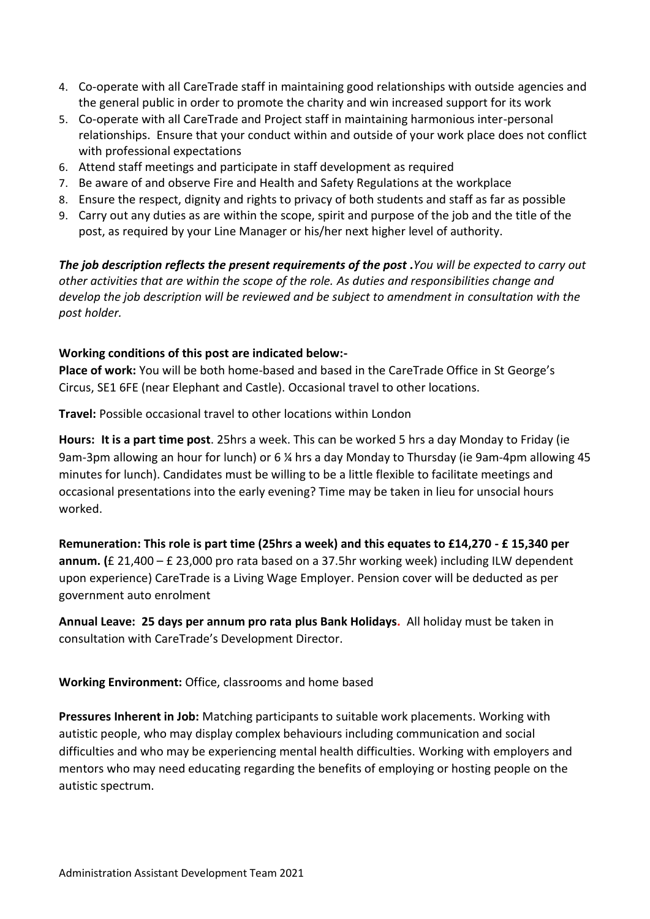- 4. Co-operate with all CareTrade staff in maintaining good relationships with outside agencies and the general public in order to promote the charity and win increased support for its work
- 5. Co-operate with all CareTrade and Project staff in maintaining harmonious inter-personal relationships. Ensure that your conduct within and outside of your work place does not conflict with professional expectations
- 6. Attend staff meetings and participate in staff development as required
- 7. Be aware of and observe Fire and Health and Safety Regulations at the workplace
- 8. Ensure the respect, dignity and rights to privacy of both students and staff as far as possible
- 9. Carry out any duties as are within the scope, spirit and purpose of the job and the title of the post, as required by your Line Manager or his/her next higher level of authority.

*The job description reflects the present requirements of the post .You will be expected to carry out other activities that are within the scope of the role. As duties and responsibilities change and develop the job description will be reviewed and be subject to amendment in consultation with the post holder.*

# **Working conditions of this post are indicated below:-**

**Place of work:** You will be both home-based and based in the CareTrade Office in St George's Circus, SE1 6FE (near Elephant and Castle). Occasional travel to other locations.

**Travel:** Possible occasional travel to other locations within London

**Hours: It is a part time post**. 25hrs a week. This can be worked 5 hrs a day Monday to Friday (ie 9am-3pm allowing an hour for lunch) or 6 ¼ hrs a day Monday to Thursday (ie 9am-4pm allowing 45 minutes for lunch). Candidates must be willing to be a little flexible to facilitate meetings and occasional presentations into the early evening? Time may be taken in lieu for unsocial hours worked.

**Remuneration: This role is part time (25hrs a week) and this equates to £14,270 - £ 15,340 per annum. (**£ 21,400 – £ 23,000 pro rata based on a 37.5hr working week) including ILW dependent upon experience) CareTrade is a Living Wage Employer. Pension cover will be deducted as per government auto enrolment

**Annual Leave: 25 days per annum pro rata plus Bank Holidays.** All holiday must be taken in consultation with CareTrade's Development Director.

# **Working Environment:** Office, classrooms and home based

**Pressures Inherent in Job:** Matching participants to suitable work placements. Working with autistic people, who may display complex behaviours including communication and social difficulties and who may be experiencing mental health difficulties. Working with employers and mentors who may need educating regarding the benefits of employing or hosting people on the autistic spectrum.